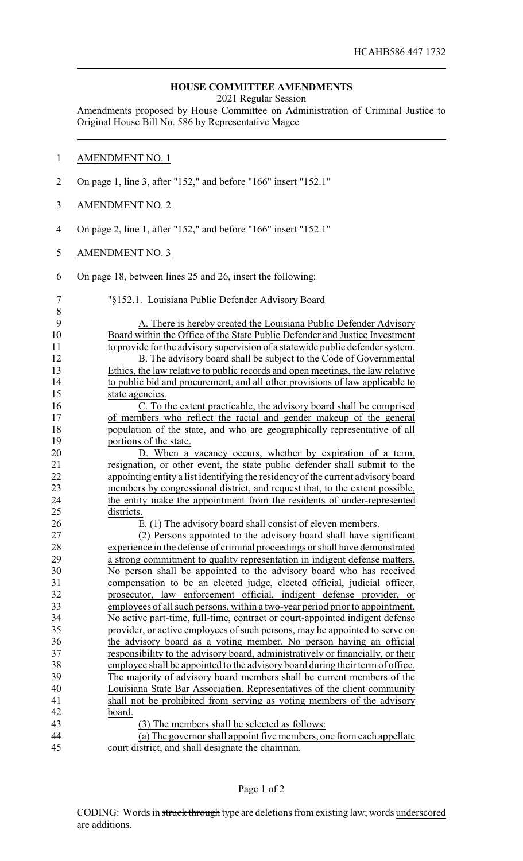## **HOUSE COMMITTEE AMENDMENTS**

2021 Regular Session

Amendments proposed by House Committee on Administration of Criminal Justice to Original House Bill No. 586 by Representative Magee

## AMENDMENT NO. 1

- On page 1, line 3, after "152," and before "166" insert "152.1"
- AMENDMENT NO. 2
- On page 2, line 1, after "152," and before "166" insert "152.1"
- AMENDMENT NO. 3
- On page 18, between lines 25 and 26, insert the following:

| 7  | "§152.1. Louisiana Public Defender Advisory Board                                |
|----|----------------------------------------------------------------------------------|
| 8  |                                                                                  |
| 9  | A. There is hereby created the Louisiana Public Defender Advisory                |
| 10 | Board within the Office of the State Public Defender and Justice Investment      |
| 11 | to provide for the advisory supervision of a statewide public defender system.   |
| 12 | B. The advisory board shall be subject to the Code of Governmental               |
| 13 | Ethics, the law relative to public records and open meetings, the law relative   |
| 14 | to public bid and procurement, and all other provisions of law applicable to     |
| 15 | state agencies.                                                                  |
| 16 | C. To the extent practicable, the advisory board shall be comprised              |
| 17 | of members who reflect the racial and gender makeup of the general               |
| 18 | population of the state, and who are geographically representative of all        |
| 19 | portions of the state.                                                           |
| 20 | D. When a vacancy occurs, whether by expiration of a term,                       |
| 21 | resignation, or other event, the state public defender shall submit to the       |
| 22 | appointing entity a list identifying the residency of the current advisory board |
| 23 | members by congressional district, and request that, to the extent possible,     |
| 24 | the entity make the appointment from the residents of under-represented          |
| 25 | districts.                                                                       |
| 26 | E. (1) The advisory board shall consist of eleven members.                       |
| 27 | (2) Persons appointed to the advisory board shall have significant               |
| 28 | experience in the defense of criminal proceedings or shall have demonstrated     |
| 29 | a strong commitment to quality representation in indigent defense matters.       |
| 30 | No person shall be appointed to the advisory board who has received              |
| 31 | compensation to be an elected judge, elected official, judicial officer,         |
| 32 | prosecutor, law enforcement official, indigent defense provider, or              |
| 33 | employees of all such persons, within a two-year period prior to appointment.    |
| 34 | No active part-time, full-time, contract or court-appointed indigent defense     |
| 35 | provider, or active employees of such persons, may be appointed to serve on      |
| 36 | the advisory board as a voting member. No person having an official              |
| 37 | responsibility to the advisory board, administratively or financially, or their  |
| 38 | employee shall be appointed to the advisory board during their term of office.   |
| 39 | The majority of advisory board members shall be current members of the           |
| 40 | Louisiana State Bar Association. Representatives of the client community         |
| 41 | shall not be prohibited from serving as voting members of the advisory           |
| 42 | board.                                                                           |
| 43 | (3) The members shall be selected as follows:                                    |
| 44 | (a) The governor shall appoint five members, one from each appellate             |
| 45 | court district, and shall designate the chairman.                                |
|    |                                                                                  |